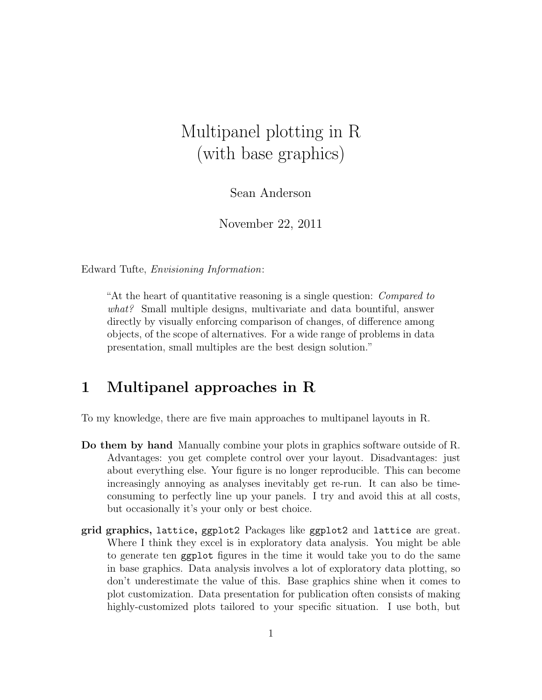# Multipanel plotting in R (with base graphics)

Sean Anderson

November 22, 2011

Edward Tufte, Envisioning Information:

"At the heart of quantitative reasoning is a single question: Compared to what? Small multiple designs, multivariate and data bountiful, answer directly by visually enforcing comparison of changes, of difference among objects, of the scope of alternatives. For a wide range of problems in data presentation, small multiples are the best design solution."

#### 1 Multipanel approaches in R

To my knowledge, there are five main approaches to multipanel layouts in R.

- Do them by hand Manually combine your plots in graphics software outside of R. Advantages: you get complete control over your layout. Disadvantages: just about everything else. Your figure is no longer reproducible. This can become increasingly annoying as analyses inevitably get re-run. It can also be timeconsuming to perfectly line up your panels. I try and avoid this at all costs, but occasionally it's your only or best choice.
- grid graphics, lattice, ggplot2 Packages like ggplot2 and lattice are great. Where I think they excel is in exploratory data analysis. You might be able to generate ten ggplot figures in the time it would take you to do the same in base graphics. Data analysis involves a lot of exploratory data plotting, so don't underestimate the value of this. Base graphics shine when it comes to plot customization. Data presentation for publication often consists of making highly-customized plots tailored to your specific situation. I use both, but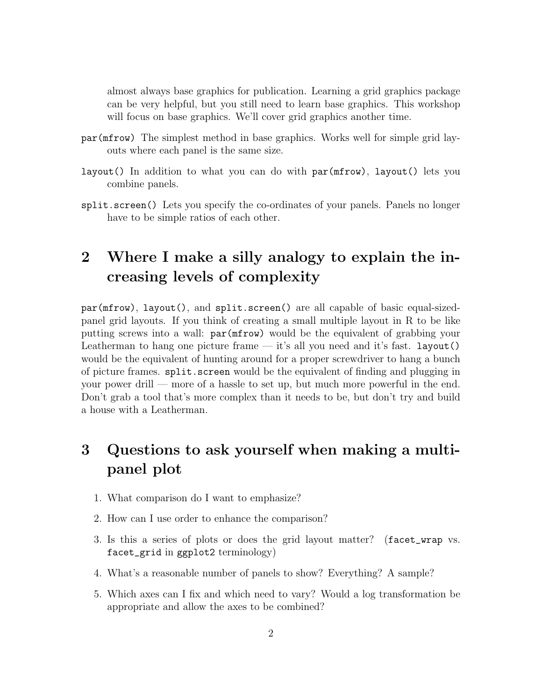almost always base graphics for publication. Learning a grid graphics package can be very helpful, but you still need to learn base graphics. This workshop will focus on base graphics. We'll cover grid graphics another time.

- par(mfrow) The simplest method in base graphics. Works well for simple grid layouts where each panel is the same size.
- layout() In addition to what you can do with par(mfrow), layout() lets you combine panels.
- split.screen() Lets you specify the co-ordinates of your panels. Panels no longer have to be simple ratios of each other.

### 2 Where I make a silly analogy to explain the increasing levels of complexity

par(mfrow), layout(), and split.screen() are all capable of basic equal-sizedpanel grid layouts. If you think of creating a small multiple layout in R to be like putting screws into a wall: par(mfrow) would be the equivalent of grabbing your Leatherman to hang one picture frame — it's all you need and it's fast. Layout () would be the equivalent of hunting around for a proper screwdriver to hang a bunch of picture frames. split.screen would be the equivalent of finding and plugging in your power drill — more of a hassle to set up, but much more powerful in the end. Don't grab a tool that's more complex than it needs to be, but don't try and build a house with a Leatherman.

## 3 Questions to ask yourself when making a multipanel plot

- 1. What comparison do I want to emphasize?
- 2. How can I use order to enhance the comparison?
- 3. Is this a series of plots or does the grid layout matter? (facet\_wrap vs. facet\_grid in ggplot2 terminology)
- 4. What's a reasonable number of panels to show? Everything? A sample?
- 5. Which axes can I fix and which need to vary? Would a log transformation be appropriate and allow the axes to be combined?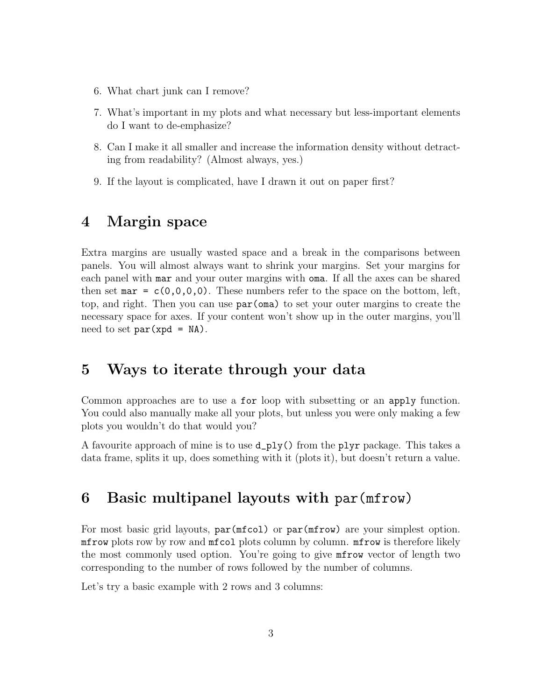- 6. What chart junk can I remove?
- 7. What's important in my plots and what necessary but less-important elements do I want to de-emphasize?
- 8. Can I make it all smaller and increase the information density without detracting from readability? (Almost always, yes.)
- 9. If the layout is complicated, have I drawn it out on paper first?

#### 4 Margin space

Extra margins are usually wasted space and a break in the comparisons between panels. You will almost always want to shrink your margins. Set your margins for each panel with mar and your outer margins with oma. If all the axes can be shared then set mar =  $c(0,0,0,0)$ . These numbers refer to the space on the bottom, left, top, and right. Then you can use par(oma) to set your outer margins to create the necessary space for axes. If your content won't show up in the outer margins, you'll need to set  $par(xpd = NA)$ .

#### 5 Ways to iterate through your data

Common approaches are to use a for loop with subsetting or an apply function. You could also manually make all your plots, but unless you were only making a few plots you wouldn't do that would you?

A favourite approach of mine is to use d\_ply() from the plyr package. This takes a data frame, splits it up, does something with it (plots it), but doesn't return a value.

#### 6 Basic multipanel layouts with par(mfrow)

For most basic grid layouts,  $par(mfcol)$  or  $par(mfrow)$  are your simplest option. mfrow plots row by row and mfcol plots column by column. mfrow is therefore likely the most commonly used option. You're going to give mfrow vector of length two corresponding to the number of rows followed by the number of columns.

Let's try a basic example with 2 rows and 3 columns: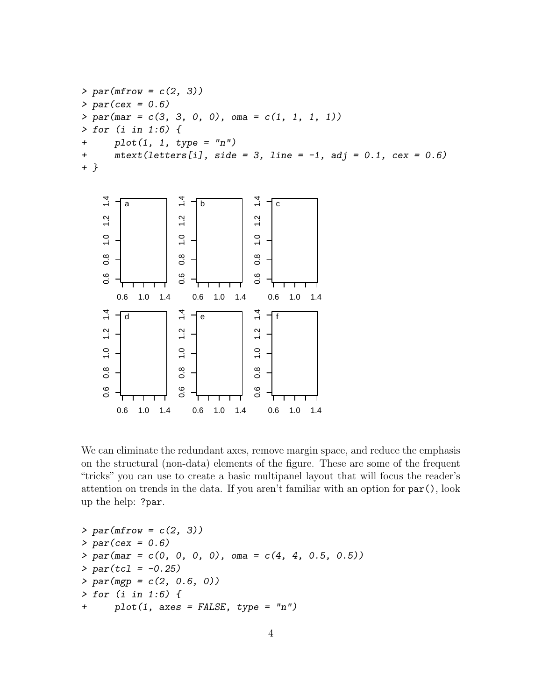```
> par(mfrow = c(2, 3))> par(cex = 0.6)> par(max = c(3, 3, 0, 0), oma = c(1, 1, 1, 1))> for (i in 1:6) {
+ plot(1, 1, type = "n")+ \text{mtext}(\text{letters}[i], \text{side} = 3, \text{ line} = -1, \text{ adj} = 0.1, \text{ cex} = 0.6)+ }
```


We can eliminate the redundant axes, remove margin space, and reduce the emphasis on the structural (non-data) elements of the figure. These are some of the frequent "tricks" you can use to create a basic multipanel layout that will focus the reader's attention on trends in the data. If you aren't familiar with an option for par(), look up the help: ?par.

```
> par(mfrow = c(2, 3))> par(cex = 0.6)> par(max = c(0, 0, 0, 0), oma = c(4, 4, 0.5, 0.5))> par(tcl = -0.25)> par (mgp = c(2, 0.6, 0))> for (i in 1:6) {
+ plot(1, axes = FALSE, type = "n")
```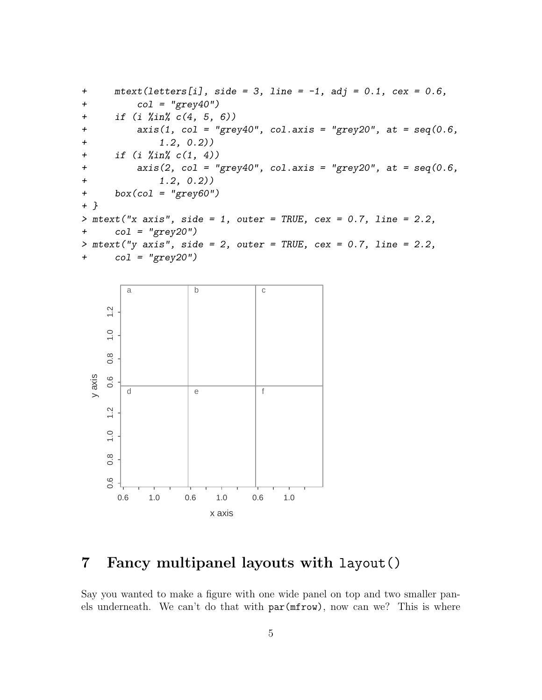```
+ \text{mtext}(\text{letters}[i], \text{side} = 3, \text{ line} = -1, \text{ adj} = 0.1, \text{cex} = 0.6,+ col = "grey40")
+ if (i %in% c(4, 5, 6))
+ axis(1, col = "grey40", col. axis = "grey20", at = seq(0.6,+ 1.2, 0.2))
+ if (i %in% c(1, 4))
+ axis(2, col = "grey40", col.axis = "grey20", at = seq(0.6,
+ 1.2, 0.2))
+ box(col = "grey60")
+ }
> mtext("x axis", side = 1, outer = TRUE, cex = 0.7, line = 2.2,
+ col = "grey20")
> mtext("y axis", side = 2, outer = TRUE, cex = 0.7, line = 2.2,
+ col = "grey20")
```


#### 7 Fancy multipanel layouts with layout()

Say you wanted to make a figure with one wide panel on top and two smaller panels underneath. We can't do that with par(mfrow), now can we? This is where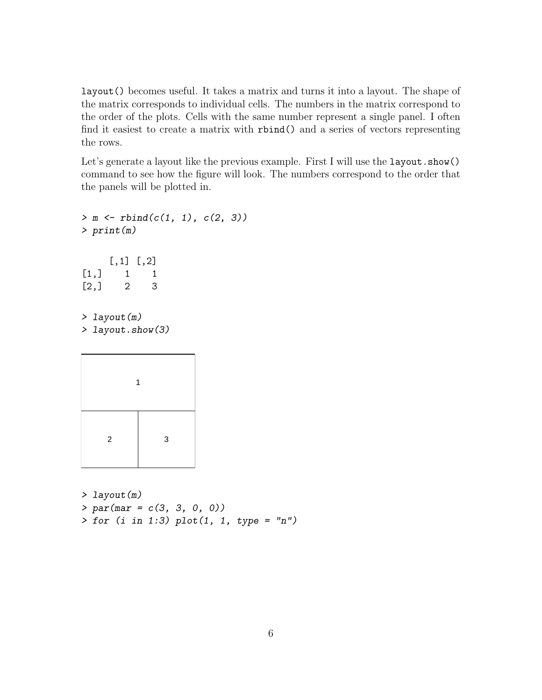layout() becomes useful. It takes a matrix and turns it into a layout. The shape of the matrix corresponds to individual cells. The numbers in the matrix correspond to the order of the plots. Cells with the same number represent a single panel. I often find it easiest to create a matrix with rbind() and a series of vectors representing the rows.

Let's generate a layout like the previous example. First I will use the layout.show() command to see how the figure will look. The numbers correspond to the order that the panels will be plotted in.

```
> m \le rbind(c(1, 1), c(2, 3))
> print(m)
    [,1] [,2][1,] 1 1[2,] 2 3> layout(m)
> layout.show(3)
         1
```

```
2 3
```
> layout(m)  $> par(max = c(3, 3, 0, 0))$  $>$  for (i in 1:3) plot(1, 1, type = "n")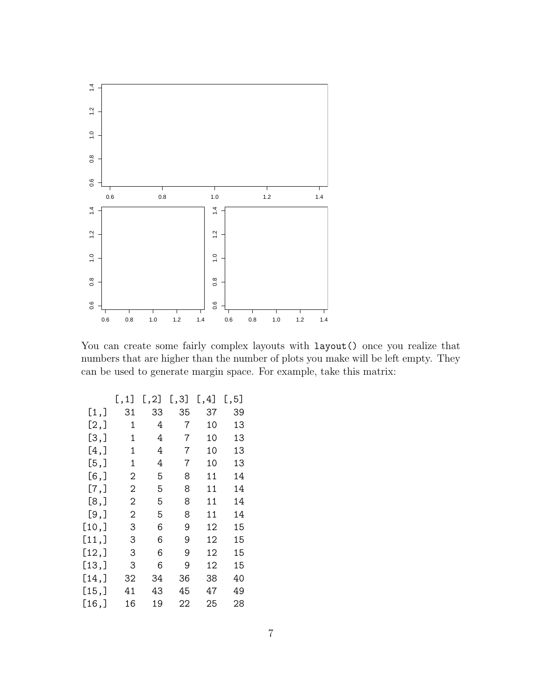

You can create some fairly complex layouts with  $l$ ayout() once you realize that numbers that are higher than the number of plots you make will be left empty. They can be used to generate margin space. For example, take this matrix:

|         | [, 1] | [, 2] | [, 3] | [, 4] | [, 5] |
|---------|-------|-------|-------|-------|-------|
| [1,]    | 31    | 33    | 35    | 37    | 39    |
| [2,]    | 1     | 4     | 7     | 10    | 13    |
| [3,]    | 1     | 4     | 7     | 10    | 13    |
| $[4,$ ] | 1     | 4     | 7     | 10    | 13    |
| [5,]    | 1     | 4     | 7     | 10    | 13    |
| [6, ]   | 2     | 5     | 8     | 11    | 14    |
| [7,]    | 2     | 5     | 8     | 11    | 14    |
| [8,]    | 2     | 5     | 8     | 11    | 14    |
| [9,     | 2     | 5     | 8     | 11    | 14    |
| [10,]   | З     | 6     | 9     | 12    | 15    |
| [11,]   | З     | 6     | 9     | 12    | 15    |
| [12,]   | 3     | 6     | 9     | 12    | 15    |
| [13,]   | 3     | 6     | 9     | 12    | 15    |
| [14,    | 32    | 34    | 36    | 38    | 40    |
| [15,]   | 41    | 43    | 45    | 47    | 49    |
| [16,    | 16    | 19    | 22    | 25    | 28    |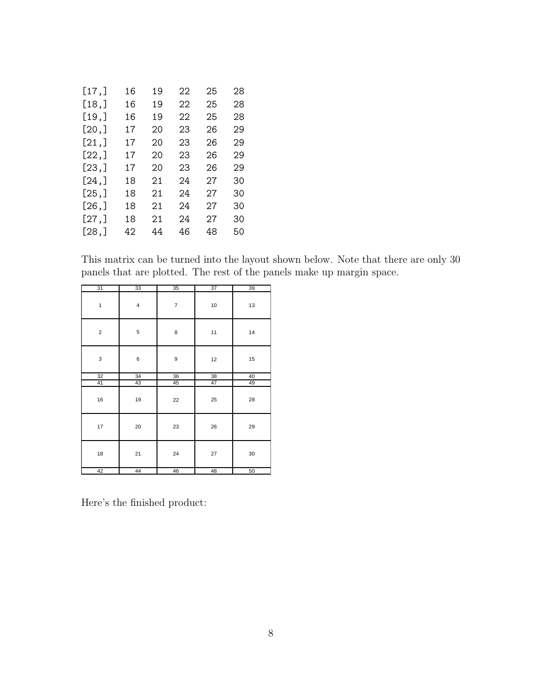| [17,   | 16 | 19 | 22 | 25 | 28 |
|--------|----|----|----|----|----|
| [18,]  | 16 | 19 | 22 | 25 | 28 |
| [19,   | 16 | 19 | 22 | 25 | 28 |
| [20,]  | 17 | 20 | 23 | 26 | 29 |
| [21,]  | 17 | 20 | 23 | 26 | 29 |
| [22,]  | 17 | 20 | 23 | 26 | 29 |
| [23,]  | 17 | 20 | 23 | 26 | 29 |
| [24,]  | 18 | 21 | 24 | 27 | 30 |
| [25,]  | 18 | 21 | 24 | 27 | 30 |
| [26, ] | 18 | 21 | 24 | 27 | 30 |
| [27,]  | 18 | 21 | 24 | 27 | 30 |
| [28,]  | 42 | 44 | 46 | 48 | 50 |
|        |    |    |    |    |    |

This matrix can be turned into the layout shown below. Note that there are only 30 panels that are plotted. The rest of the panels make up margin space.

| $\overline{31}$ | $\overline{33}$         | 35             | $\overline{37}$ | 39 |
|-----------------|-------------------------|----------------|-----------------|----|
| $\mathbf{1}$    | $\overline{\mathbf{4}}$ | $\overline{7}$ | 10              | 13 |
| $\mathbf 2$     | 5                       | 8              | 11              | 14 |
| 3               | 6                       | 9              | 12              | 15 |
| $\overline{32}$ | 34                      | 36             | 38              | 40 |
| 41              | 43                      | 45             | 47              | 49 |
| 16              | 19                      | 22             | 25              | 28 |
| 17              | 20                      | 23             | 26              | 29 |
| 18              | 21                      | 24             | 27              | 30 |
| 42              | 44                      | 46             | 48              | 50 |

Here's the finished product: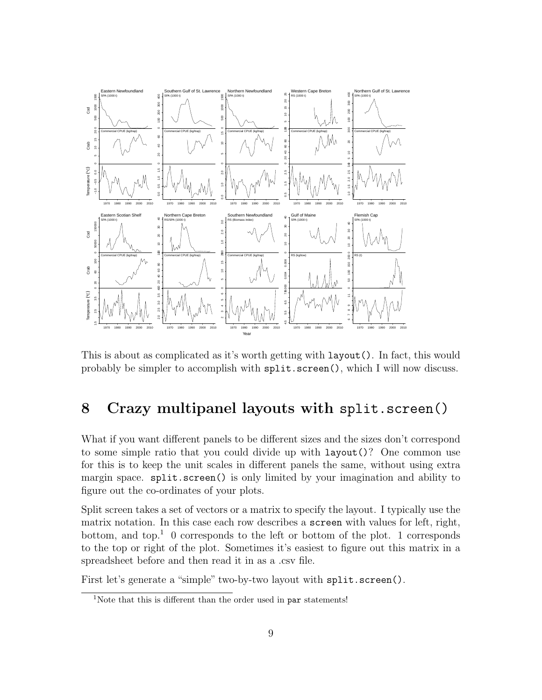

This is about as complicated as it's worth getting with layout(). In fact, this would probably be simpler to accomplish with split.screen(), which I will now discuss.

### 8 Crazy multipanel layouts with split.screen()

What if you want different panels to be different sizes and the sizes don't correspond to some simple ratio that you could divide up with layout()? One common use for this is to keep the unit scales in different panels the same, without using extra margin space. split.screen() is only limited by your imagination and ability to figure out the co-ordinates of your plots.

Split screen takes a set of vectors or a matrix to specify the layout. I typically use the matrix notation. In this case each row describes a screen with values for left, right, bottom, and top.<sup>1</sup> 0 corresponds to the left or bottom of the plot. 1 corresponds to the top or right of the plot. Sometimes it's easiest to figure out this matrix in a spreadsheet before and then read it in as a .csv file.

First let's generate a "simple" two-by-two layout with split.screen().

<sup>&</sup>lt;sup>1</sup>Note that this is different than the order used in par statements!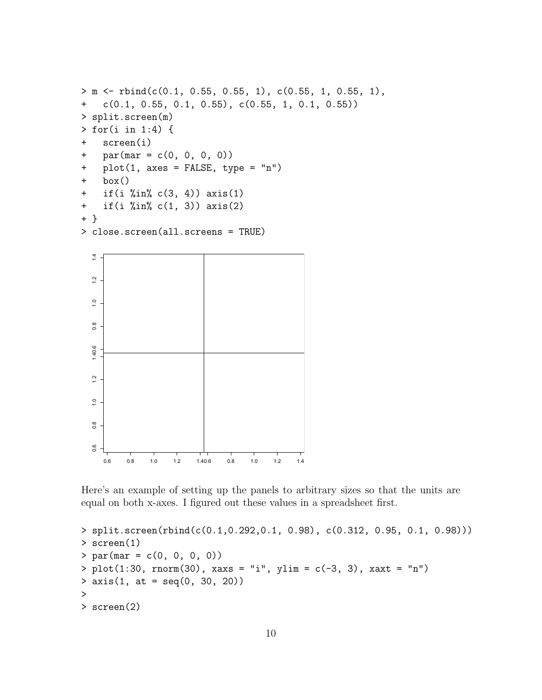```
> m <- rbind(c(0.1, 0.55, 0.55, 1), c(0.55, 1, 0.55, 1),
+ c(0.1, 0.55, 0.1, 0.55), c(0.55, 1, 0.1, 0.55))
> split.screen(m)
> for(i in 1:4) {
+ screen(i)
+ par(max = c(0, 0, 0, 0))+ plot(1, axes = FALSE, type = "n")
+ box()
+ if(i %in% c(3, 4)) axis(1)
+ if(i %in% c(1, 3)) axis(2)
+ }
> close.screen(all.screens = TRUE)
```


Here's an example of setting up the panels to arbitrary sizes so that the units are equal on both x-axes. I figured out these values in a spreadsheet first.

```
> split.screen(rbind(c(0.1,0.292,0.1, 0.98), c(0.312, 0.95, 0.1, 0.98)))
> screen(1)
> par(max = c(0, 0, 0, 0))> plot(1:30, from(30), xaxs = "i", ylim = c(-3, 3), xaxt = "n")> axis(1, at = seq(0, 30, 20))>
> screen(2)
```